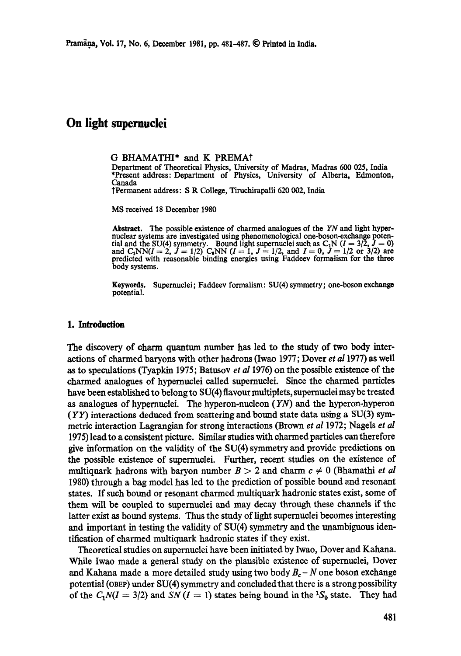# **On light supernuclei**

#### G BHAMATHI\* and K PREMA?

Department of Theoretical Physics, University of Madras, Madras 600 025, India \*Present address: Department of Physics, University of Alberta, Edmonton, Canada

~Permanent address: S R College, Tiruchirapalli 620 002, India

MS received 18 December 1980

Abstract. The possible existence of charmed analogues of the *YN* and light hypernuclear systems are investigated using phenomenological one-boson-exchange potential and the SU(4) symmetry. Bound light supernuclei such as  $C_1N$  ( $I = 3/2$ ,  $J = 0$ ) and  $C_1NN(I=2, J = 1/2)$   $C_0NN(I=1, J = 1/2,$  and  $I = 0, J = 1/2$  or 3/2) are predicted with reasonable binding energies using Faddeev formalism for the three body systems.

Keywords. Supernuclei; Faddeev formalism: SU(4) symmetry; one-boson exchange potential.

#### **1.** Introduction

The discovery of charm quantum number has led to the study of two body interactions of charmed baryons with other hadrons (Iwao 1977; Dover *et a11977)* as well as to speculations (Tyapkin 1975; Batusov *et al* 1976) on the possible existence of the charmed analogues of hypernuclei called supemuelei. Since the charmed particles have been established to belong to SU(4) flavour multiplets, supernuelei may be treated as analogues of hypernuelei. The hyperon-nucleon (YN) and the hyperon-hyperon  $(YY)$  interactions deduced from scattering and bound state data using a SU(3) symmetric interaction Lagrangian for strong interactions (Brown *et al* 1972; Nagels *et al*  1975) lead to a consistent picture. Similar studies with charmed particles can therefore give information on the validity of the SU(4) symmetry and provide predictions on the possible existence of supernuclei. Further, recent studies on the existence of multiquark hadrons with baryon number  $B > 2$  and charm  $c \neq 0$  (Bhamathi *et al* 1980) through a bag model has led to the prediction of possible bound and resonant states. If such bound or resonant charmed multiquark hadronic states exist, some of them will be coupled to supernuelei and may decay through these channels if the latter exist as bound systems. Thus the study of light supernuclei becomes interesting and important in testing the validity of SU(4) symmetry and the unambiguous identification of charmed multiquark hadronic states if they exist.

Theoretical studies on supernuclei have been initiated by Iwao, Dover and Kahana. While Iwao made a general study on the plausible existence of supernuclei, Dover and Kahana made a more detailed study using two body  $B<sub>c</sub> - N$  one boson exchange potential (OBEP) under SU(4) symmetry and coneludedthat there is a strong possibility of the  $C_1N(I = 3/2)$  and *SN* ( $I = 1$ ) states being bound in the <sup>1</sup>S<sub>0</sub> state. They had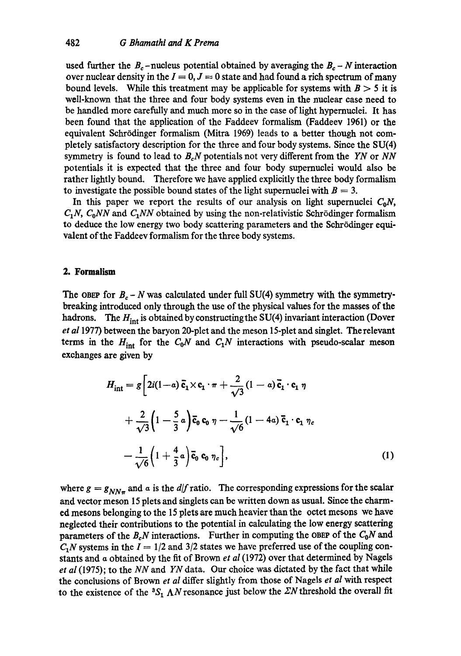used further the  $B_c$ -nucleus potential obtained by averaging the  $B_c - N$  interaction over nuclear density in the  $I = 0, J = 0$  state and had found a rich spectrum of many bound levels. While this treatment may be applicable for systems with  $B > 5$  it is well-known that the three and four body systems even in the nuclear case need to be handled more carefully and much more so in the case of light hypernuclei. It has been found that the application of the Faddeev formalism (Faddeev 1961) or the equivalent Schrödinger formalism (Mitra 1969) leads to a better though not completely satisfactory description for the three and four body systems. Since the SU(4) symmetry is found to lead to *BeN* potentials not very different from the *YN* or *NN*  potentials it is expected that the three and four body supernuclei would also be rather lightly bound. Therefore we have applied explicitly the three body formalism to investigate the possible bound states of the light supernuclei with  $B = 3$ .

In this paper we report the results of our analysis on light supernuclei  $C_0N$ ,  $C_1N$ ,  $C_0NN$  and  $C_1NN$  obtained by using the non-relativistic Schrödinger formalism to deduce the low energy two body scattering parameters and the Schrödinger equivalent of the Faddeev formalism for the three body systems.

#### **2. Formalism**

The OBEP for  $B_c - N$  was calculated under full SU(4) symmetry with the symmetrybreaking introduced only through the use of the physical values for the masses of the hadrons. The  $H_{int}$  is obtained by constructing the SU(4) invariant interaction (Dover *et al* 1977) between the baryon 20-plet and the meson 15-plet and singlet. The relevant terms in the  $H_{int}$  for the  $C_0N$  and  $C_1N$  interactions with pseudo-scalar meson exchanges are given by

$$
H_{int} = g \left[ 2i(1-a) \overline{\mathbf{c}}_1 \times \mathbf{c}_1 \cdot \pi + \frac{2}{\sqrt{3}} (1-a) \overline{\mathbf{c}}_1 \cdot \mathbf{c}_1 \eta \right.
$$
  
+ 
$$
\frac{2}{\sqrt{3}} \left( 1 - \frac{5}{3} a \right) \overline{\mathbf{c}}_0 \mathbf{c}_0 \eta - \frac{1}{\sqrt{6}} (1 - 4a) \overline{\mathbf{c}}_1 \cdot \mathbf{c}_1 \eta_c
$$
  
- 
$$
\frac{1}{\sqrt{6}} \left( 1 + \frac{4}{3} a \right) \overline{\mathbf{c}}_0 \mathbf{c}_0 \eta_c \right],
$$
 (1)

where  $g = g_{NN\pi}$  and  $\alpha$  is the *d*/f ratio. The corresponding expressions for the scalar and vector meson 15 plets and singlets can be written down as usual. Since the charmed mesons belonging to the 15 plets are much heavier than the octet mesons we have neglected their contributions to the potential in calculating the low energy scattering parameters of the  $B_cN$  interactions. Further in computing the OBEP of the  $C_0N$  and  $C_1N$  systems in the  $I = 1/2$  and 3/2 states we have preferred use of the coupling constants and a obtained by the fit of Brown *et al* (1972) over that determined by Nagels *et al* (1975); to the *NN* and *YN* data. Our choice was dictated by the fact that while the conclusions of Brown *et al* differ slightly from those of Nagels *et al* with respect to the existence of the  ${}^3S_1 \Lambda N$  resonance just below the  $ZN$  threshold the overall fit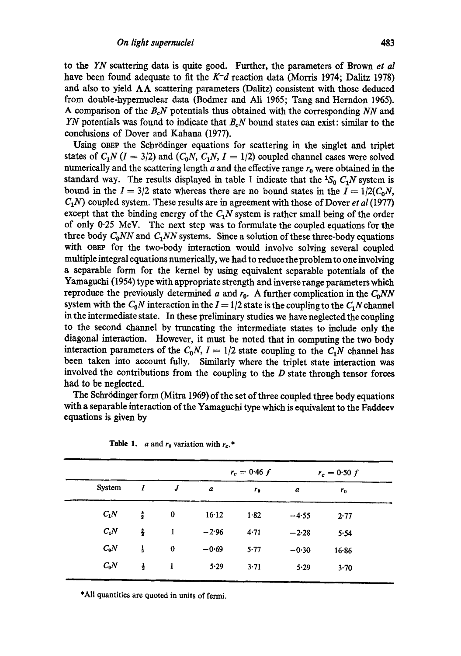to the *YN* scattering data is quite good. Further, the parameters of Brown *et al*  have been found adequate to fit the *K-d* reaction data (Morris 1974; Dalitz 1978) and also to yield  $\Lambda\Lambda$  scattering parameters (Dalitz) consistent with those deduced from double-hypernuclear data (Bodmer and Ali 1965; Tang and Herndon 1965). A comparison of the *BeN* potentials thus obtained with the corresponding *NN* and *YN* potentials was found to indicate that *BcN* bound states can exist: similar to the conclusions of Dover and Kahana (1977).

Using OBEP the Schrrdinger equations for scattering in the singlet and triplet states of  $C_1N$  ( $I = 3/2$ ) and  $(C_0N, C_1N, I = 1/2)$  coupled channel cases were solved numerically and the scattering length  $a$  and the effective range  $r_0$  were obtained in the standard way. The results displayed in table 1 indicate that the  ${}^{1}S_{0}$   $C_{1}N$  system is bound in the  $I = 3/2$  state whereas there are no bound states in the  $I = 1/2(C_0N,$ *C1N )* coupled system. These results are in agreement with those of Dover *et al* (1977) except that the binding energy of the  $C_1N$  system is rather small being of the order of only 0.25 MeV. The next step was to formulate the coupled equations for the three body  $C_0NN$  and  $C_1NN$  systems. Since a solution of these three-body equations with OBEP for the two-body interaction would involve solving several coupled multiple integral equations numerically, we had to reduce the problem to one involving a separable form for the kernel by using equivalent separable potentials of the Yamaguchi (I954) type with appropriate strength and inverse range parameters which reproduce the previously determined a and  $r_0$ . A further complication in the  $C_0NN$ system with the  $C_0N$  interaction in the  $I = 1/2$  state is the coupling to the  $C_1N$  channel in the intermediate state. In these preliminary studies we have neglected the coupling to the second channel by truncating the intermediate states to include only the diagonal interaction. However, it must be noted that in computing the two body interaction parameters of the  $C_0N$ ,  $I = 1/2$  state coupling to the  $C_1N$  channel has been taken into account fully. Similarly where the triplet state interaction was involved the contributions from the coupling to the  $D$  state through tensor forces had to be neglected.

The Schrödinger form (Mitra 1969) of the set of three coupled three body equations with a separable interaction of the Yamaguchi type which is equivalent to the Faddeev equations is given by

|               |               |                  |                  | $r_c = 0.46 f$ | $r_c = 0.50 f$ |         |
|---------------|---------------|------------------|------------------|----------------|----------------|---------|
| <b>System</b> | 1             | $\boldsymbol{J}$ | $\boldsymbol{a}$ | $r_{0}$        | a              | $r_{0}$ |
| $C_1N$        | ÷             | 0                | 16.12            | 1.82           | $-4.55$        | 2.77    |
| $C_1N$        | ક             | 1                | $-2.96$          | 4.71           | $-2.28$        | 5.54    |
| $C_0N$        | $\frac{1}{2}$ | $\mathbf 0$      | $-0.69$          | 5.77           | $-0.30$        | 16.86   |
| $C_0N$        | $\frac{1}{2}$ | 1                | 5.29             | 3.71           | 5.29           | 3.70    |

**Table 1.**  $a$  and  $r_0$  variation with  $r_c$ .\*

\*All quantities are quoted in units of fermi.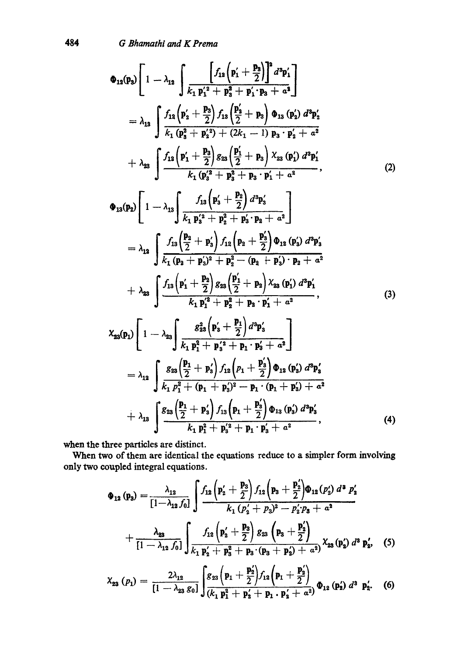484 *G Bhamathi and K Prema* 

$$
\Phi_{12}(p_3)\left[1-\lambda_{12}\int \frac{\left[f_{12}\left(p_1'+\frac{p_3}{2}\right)\right]^2 d^3p_1'}{k_1 p_1'^2+p_3^2+p_1' p_3+a^2}\right] \n= \lambda_{13}\int \frac{f_{12}\left(p_2'+\frac{p_3}{2}\right)f_{13}\left(\frac{p_2'}{2}+p_3\right)\Phi_{13}\left(p_2'\right) d^3p_2'}{k_1 (p_3^2+p_2'^2)+(2k_1-1) p_3 \cdot p_2'+a^2} \n+ \lambda_{23}\int \frac{f_{12}\left(p_1'+\frac{p_3}{2}\right)g_{23}\left(\frac{p_1'}{2}+p_3\right)\chi_{23}\left(p_1'\right) d^3p_1'}{k_1 (p_3'^2+p_3^2+p_3 \cdot p_1'+a^2}, \qquad (2)
$$

$$
\Phi_{13}(\mathbf{p}_{2})\left[1-\lambda_{13}\left(\frac{f_{13}\left(\mathbf{p}_{3}^{\prime}+\frac{\mathbf{p}_{2}}{2}\right)d^{3}\mathbf{p}_{3}^{\prime}}{k_{1}\mathbf{p}_{3}^{\prime^{2}}+\mathbf{p}_{2}^{2}+\mathbf{p}_{3}^{\prime}\cdot\mathbf{p}_{2}+a^{2}}\right)\right] \n= \lambda_{12}\left\{\frac{f_{13}\left(\frac{\mathbf{p}_{2}}{2}+\mathbf{p}_{3}^{\prime}\right)f_{12}\left(\mathbf{p}_{2}+\frac{\mathbf{p}_{3}^{\prime}}{2}\right)\Phi_{12}\left(\mathbf{p}_{3}^{\prime}\right)d^{3}\mathbf{p}_{3}^{\prime}}{k_{1}\left(\mathbf{p}_{2}+\mathbf{p}_{3}^{\prime}\right)^{2}+\mathbf{p}_{2}^{2}-(\mathbf{p}_{2}+\mathbf{p}_{3}^{\prime})\cdot\mathbf{p}_{2}+a^{2}}\right. \n+ \lambda_{23}\left\{\frac{f_{13}\left(\mathbf{p}_{1}^{\prime}+\frac{\mathbf{p}_{2}}{2}\right)g_{23}\left(\frac{\mathbf{p}_{1}^{\prime}}{2}+\mathbf{p}_{2}\right)\chi_{23}\left(\mathbf{p}_{1}^{\prime}\right)d^{3}\mathbf{p}_{1}^{\prime}}{k_{1}\mathbf{p}_{1}^{\prime^{2}}+\mathbf{p}_{2}^{2}+\mathbf{p}_{2}\cdot\mathbf{p}_{1}^{\prime}+a^{2}},
$$
\n(3)

$$
\chi_{23}(p_1)\left[1-\lambda_{23}\int \frac{g_{23}^2\left(p_3'+\frac{p_1}{2}\right)d^3p_3'}{k_1 p_1^2+p_3^2+p_1\cdot p_3'+a^2}\right] \n= \lambda_{12}\int \frac{g_{23}\left(\frac{p_1}{2}+p_3'\right)f_{12}\left(p_1+\frac{p_3'}{2}\right)\Phi_{12}\left(p_3'\right)d^3p_3'}{k_1 p_1^2+(p_1+p_3')^2-p_1\cdot(p_1+p_3')+a^2} \n+ \lambda_{13}\int \frac{g_{23}\left(\frac{p_1}{2}+p_3'\right)f_{13}\left(p_1+\frac{p_3'}{2}\right)\Phi_{13}\left(p_3'\right)d^3p_3'}{k_1 p_1^2+p_3'+p_1\cdot p_3'+a^2}, \qquad (4)
$$

when the three particles are distinct.

When two of them are identical the equations reduce to a simpler form involving only two coupled integral equations.

$$
\Phi_{12} (p_3) = \frac{\lambda_{12}}{[1-\lambda_{12} f_0]} \int \frac{f_{12} (p'_2 + \frac{p_3}{2}) f_{12} (p_3 + \frac{p'_2}{2}) \Phi_{12} (p'_2) d^3 p'_2}{k_1 (p'_2 + p_3)^2 - p'_2 p_3 + a^2} + \frac{\lambda_{23}}{[1-\lambda_{12} f_0]} \int \frac{f_{12} (p'_2 + \frac{p_3}{2}) g_{23} (p_3 + \frac{p'_2}{2})}{k_1 p'_2 + p_3^2 + p_3 (p_3 + p'_2) + a^2} \chi_{23} (p'_2) d^3 p'_2,
$$
 (5)

$$
X_{23} (p_1) = \frac{2 \lambda_{12}}{[1 - \lambda_{23} g_0]} \int \frac{g_{23} (p_1 + \frac{p_2}{2}) f_{12} (p_1 + \frac{p_2}{2})}{(k_1 p_1^2 + p_2 + p_1 \cdot p_2' + a^2)} \Phi_{12} (p_2') d^3 p_2'.
$$
 (6)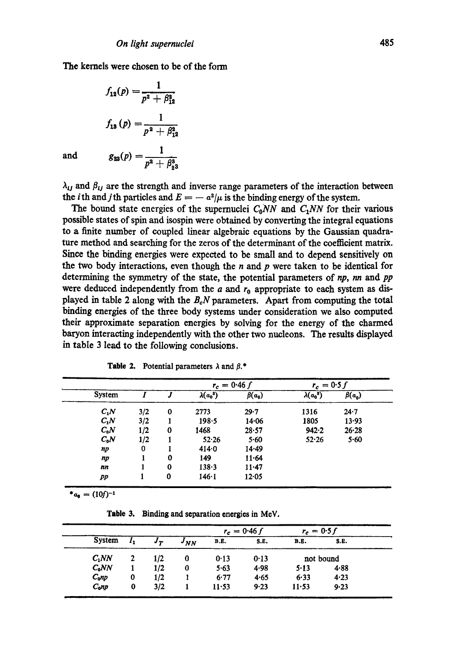The kernels were chosen to be of the form

$$
f_{12}(p) = \frac{1}{p^2 + \beta_{12}^2}
$$

$$
f_{13}(p) = \frac{1}{p^2 + \beta_{12}^2}
$$

$$
g_{23}(p) = \frac{1}{p^2 + \beta_{23}^3}
$$

**and** 

 $\lambda_{ij}$  and  $\beta_{ij}$  are the strength and inverse range parameters of the interaction between the *i*th and *j*th particles and  $E = -a^2/\mu$  is the binding energy of the system.

The bound state energies of the supernuclei  $C_0NN$  and  $C_1NN$  for their various possible states of spin and isospin were obtained by converting the integral equations to a finite number of coupled linear algebraic equations by the Gaussian quadrature method and searching for the zeros of the determinant of the coefficient matrix. Since the binding energies were expected to be small and to depend sensitively on the two body interactions, even though the  $n$  and  $p$  were taken to be identical for determining the symmetry of the state, the potential parameters of *np, nn* and *pp*  were deduced independently from the  $a$  and  $r_0$  appropriate to each system as displayed in table 2 along with the *BeN* parameters. Apart from computing the total binding energies of the three body systems under consideration we also computed their approximate separation energies by solving for the energy of the charmed baryon interacting independently with the other two nucleons. The results displayed in table 3 lead to the following conclusions.

|        |     |   |                  | $r_c = 0.46 f$ | $r_c = 0.5 f$    |              |
|--------|-----|---|------------------|----------------|------------------|--------------|
| System |     | J | $\lambda(a_0^3)$ | $\beta(a_0)$   | $\lambda(a_0^3)$ | $\beta(a_0)$ |
| $C_1N$ | 3/2 | 0 | 2773             | 29.7           | 1316             | 24.7         |
| $C_1N$ | 3/2 |   | $198 - 5$        | 14.06          | 1805             | 13.93        |
| $C_0N$ | 1/2 | 0 | 1468             | 28.57          | 942.2            | $26 - 28$    |
| $C_0N$ | 1/2 |   | 52.26            | 5.60           | 52.26            | 5.60         |
| np     | 0   |   | 414.0            | 14.49          |                  |              |
| np     |     | 0 | 149              | $11-64$        |                  |              |
| nn     |     | 0 | $138 - 3$        | $11 - 47$      |                  |              |
| pp     |     | 0 | $146 - 1$        | 12.05          |                  |              |

|  |  |  |  | <b>Table 2.</b> Potential parameters $\lambda$ and $\beta$ .* |  |  |
|--|--|--|--|---------------------------------------------------------------|--|--|
|--|--|--|--|---------------------------------------------------------------|--|--|

 $a_0 = (10f)^{-1}$ 

**Table 3. Binding and separation energies in MeV.** 

| System   |              |                |          | $r_c = 0.46 f$ |      | $r_c = 0.5 f$ |      |
|----------|--------------|----------------|----------|----------------|------|---------------|------|
|          | $\mathbf{I}$ | J <sub>T</sub> | $J_{NN}$ | <b>B.E.</b>    | S.E. | <b>B.E.</b>   | S.E. |
| $C_1NN$  |              | 1/2            | 0        | 0.13           | 0.13 | not bound     |      |
| $C_0NN$  |              | 1/2            | 0        | 5.63           | 4.98 | 5.13          | 4.88 |
| $C_0$ np | 0            | 1/2            |          | 6.77           | 4.65 | 6.33          | 4.23 |
| $_{Cop}$ | 0            | 3/2            |          | $11 - 53$      | 9.23 | $11 - 53$     | 9.23 |

i i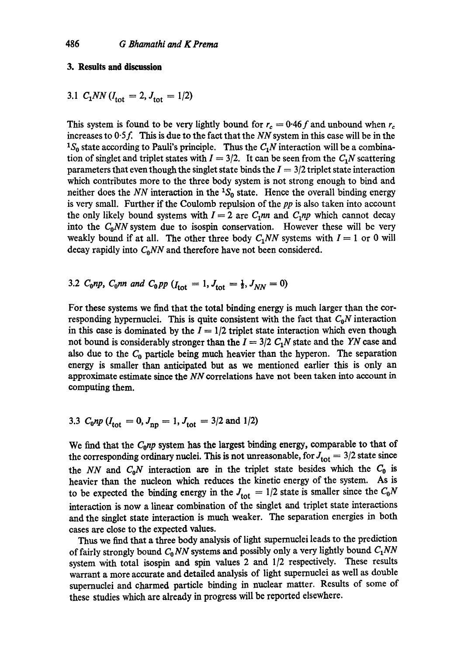# **3. Results and discussion**

3.1 
$$
C_1 NN
$$
 ( $I_{\text{tot}} = 2$ ,  $J_{\text{tot}} = 1/2$ )

This system is found to be very lightly bound for  $r_c = 0.46 f$  and unbound when  $r_c$ increases to  $0.5f$ . This is due to the fact that the *NN* system in this case will be in the <sup>1</sup>S<sub>0</sub> state according to Pauli's principle. Thus the  $C_1N$  interaction will be a combination of singlet and triplet states with  $I = 3/2$ . It can be seen from the  $C_1N$  scattering parameters that even though the singlet state binds the  $I = 3/2$  triplet state interaction which contributes more to the three body system is not strong enough to bind and neither does the *NN* interaction in the  ${}^{1}S_{0}$  state. Hence the overall binding energy is very small. Further if the Coulomb repulsion of the *pp* is also taken into account the only likely bound systems with  $I = 2$  are  $C_1$ *nn* and  $C_1$ *np* which cannot decay into the  $C_0NN$  system due to isospin conservation. However these will be very weakly bound if at all. The other three body  $C_1NN$  systems with  $I = 1$  or 0 will decay rapidly into  $C_0NN$  and therefore have not been considered.

3.2 
$$
C_0np
$$
,  $C_0nn$  and  $C_0pp$  ( $I_{tot} = 1$ ,  $J_{tot} = \frac{1}{2}$ ,  $J_{NN} = 0$ )

For these systems we find that the total binding energy is much larger than the corresponding hypernuclei. This is quite consistent with the fact that  $C_0N$  interaction in this case is dominated by the  $I = 1/2$  triplet state interaction which even though not bound is considerably stronger than the  $I = 3/2$   $C_1N$  state and the YN case and also due to the  $C_0$  particle being much heavier than the hyperon. The separation energy is smaller than anticipated but as we mentioned earlier this is only an approximate estimate since the NN correlations have not been taken into account in computing them.

3.3 
$$
C_0 np
$$
 ( $I_{\text{tot}} = 0$ ,  $J_{\text{np}} = 1$ ,  $J_{\text{tot}} = 3/2$  and 1/2)

We find that the *C*<sub>0</sub>np system has the largest binding energy, comparable to that of the corresponding ordinary nuclei. This is not unreasonable, for  $J_{\text{tot}} = 3/2$  state since the *NN* and  $C_0N$  interaction are in the triplet state besides which the  $C_0$  is heavier than the nucleon which reduces the kinetic energy of the system. As is to be expected the binding energy in the  $J_{\text{tot}} = 1/2$  state is smaller since the  $C_0N$ interaction is now a linear combination of the singlet and triplet state interactions and the singlet state interaction is much weaker. The separation energies in both cases are close to the expected values.

Thus we find that a three body analysis of light supemuclei leads to the prediction of fairly strongly bound  $C_0 NN$  systems and possibly only a very lightly bound  $C_1 NN$ system with total isospin and spin values 2 and 1/2 respectively. These results warrant a more accurate and detailed analysis of light supemuclei as well as double supemuclei and charmed particle binding in nuclear matter. Results of some of these studies which are already in progress will be reported elsewhere.